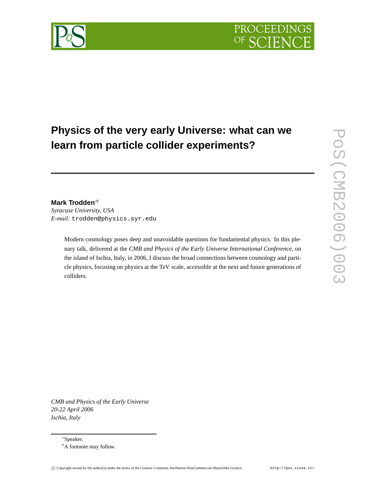# PROCEEDI

# **Physics of the very early Universe: what can we learn from particle collider experiments?**

# **Mark Trodden**∗†

*Syracuse University, USA E-mail:* trodden@physics.syr.edu

> Modern cosmology poses deep and unavoidable questions for fundamental physics. In this plenary talk, delivered at the *CMB and Physics of the Early Universe International Conference*, on the island of Ischia, Italy, in 2006, I discuss the broad connections between cosmology and particle physics, focusing on physics at the TeV scale, accessible at the next and future generations of colliders.

*CMB and Physics of the Early Universe 20-22 April 2006 Ischia, Italy*

> <sup>∗</sup>Speaker. †A footnote may follow.

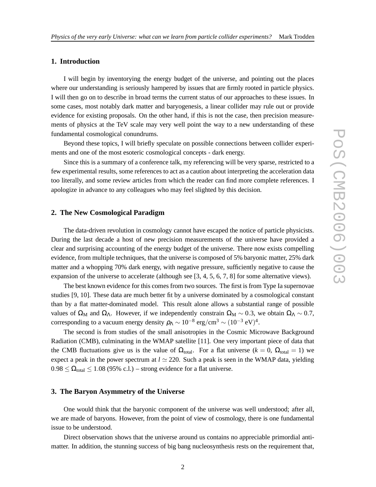# **1. Introduction**

I will begin by inventorying the energy budget of the universe, and pointing out the places where our understanding is seriously hampered by issues that are firmly rooted in particle physics. I will then go on to describe in broad terms the current status of our approaches to these issues. In some cases, most notably dark matter and baryogenesis, a linear collider may rule out or provide evidence for existing proposals. On the other hand, if this is not the case, then precision measurements of physics at the TeV scale may very well point the way to a new understanding of these fundamental cosmological conundrums.

Beyond these topics, I will briefly speculate on possible connections between collider experiments and one of the most esoteric cosmological concepts - dark energy.

Since this is a summary of a conference talk, my referencing will be very sparse, restricted to a few experimental results, some references to act as a caution about interpreting the acceleration data too literally, and some review articles from which the reader can find more complete references. I apologize in advance to any colleagues who may feel slighted by this decision.

# **2. The New Cosmological Paradigm**

The data-driven revolution in cosmology cannot have escaped the notice of particle physicists. During the last decade a host of new precision measurements of the universe have provided a clear and surprising accounting of the energy budget of the universe. There now exists compelling evidence, from multiple techniques, that the universe is composed of 5% baryonic matter, 25% dark matter and a whopping 70% dark energy, with negative pressure, sufficiently negative to cause the expansion of the universe to accelerate (although see [3, 4, 5, 6, 7, 8] for some alternative views).

The best known evidence for this comes from two sources. The first is from Type Ia supernovae studies [9, 10]. These data are much better fit by a universe dominated by a cosmological constant than by a flat matter-dominated model. This result alone allows a substantial range of possible values of  $\Omega_M$  and  $\Omega_{\Lambda}$ . However, if we independently constrain  $\Omega_M \sim 0.3$ , we obtain  $\Omega_{\Lambda} \sim 0.7$ , corresponding to a vacuum energy density  $\rho_{\Lambda} \sim 10^{-8} \text{ erg/cm}^3 \sim (10^{-3} \text{ eV})^4$ .

The second is from studies of the small anisotropies in the Cosmic Microwave Background Radiation (CMB), culminating in the WMAP satellite [11]. One very important piece of data that the CMB fluctuations give us is the value of  $\Omega_{total}$ . For a flat universe ( $k = 0$ ,  $\Omega_{total} = 1$ ) we expect a peak in the power spectrum at  $l \approx 220$ . Such a peak is seen in the WMAP data, yielding  $0.98 \leq \Omega_{\text{total}} \leq 1.08$  (95% c.l.) – strong evidence for a flat universe.

# **3. The Baryon Asymmetry of the Universe**

One would think that the baryonic component of the universe was well understood; after all, we are made of baryons. However, from the point of view of cosmology, there is one fundamental issue to be understood.

Direct observation shows that the universe around us contains no appreciable primordial antimatter. In addition, the stunning success of big bang nucleosynthesis rests on the requirement that,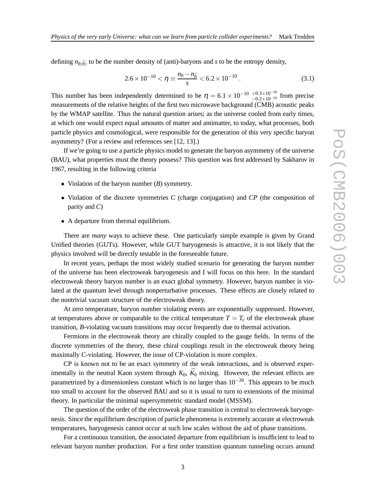defining  $n_{b(\bar{b})}$  to be the number density of (anti)-baryons and *s* to be the entropy density,

$$
2.6 \times 10^{-10} < \eta \equiv \frac{n_b - n_{\bar{b}}}{s} < 6.2 \times 10^{-10} \tag{3.1}
$$

This number has been independently determined to be  $\eta = 6.1 \times 10^{-10} \frac{+0.3 \times 10^{-10}}{-0.2 \times 10^{-10}}$  from precise measurements of the relative heights of the first two microwave background (CMB) acoustic peaks by the WMAP satellite. Thus the natural question arises; as the universe cooled from early times, at which one would expect equal amounts of matter and antimatter, to today, what processes, both particle physics and cosmological, were responsible for the generation of this very specific baryon asymmetry? (For a review and references see [12, 13].)

If we're going to use a particle physics model to generate the baryon asymmetry of the universe (BAU), what properties must the theory possess? This question was first addressed by Sakharov in 1967, resulting in the following criteria

- Violation of the baryon number (*B*) symmetry.
- Violation of the discrete symmetries *C* (charge conjugation) and *CP* (the composition of parity and *C*)
- A departure from thermal equilibrium.

There are *many* ways to achieve these. One particularly simple example is given by Grand Unified theories (GUTs). However, while GUT baryogenesis is attractive, it is not likely that the physics involved will be directly testable in the foreseeable future.

In recent years, perhaps the most widely studied scenario for generating the baryon number of the universe has been electroweak baryogenesis and I will focus on this here. In the standard electroweak theory baryon number is an exact global symmetry. However, baryon number is violated at the quantum level through nonperturbative processes. These effects are closely related to the nontrivial vacuum structure of the electroweak theory.

At zero temperature, baryon number violating events are exponentially suppressed. However, at temperatures above or comparable to the critical temperature  $T = T_c$  of the electroweak phase transition, *B*-violating vacuum transitions may occur frequently due to thermal activation.

Fermions in the electroweak theory are chirally coupled to the gauge fields. In terms of the discrete symmetries of the theory, these chiral couplings result in the electroweak theory being maximally C-violating. However, the issue of CP-violation is more complex.

CP is known not to be an exact symmetry of the weak interactions, and is observed experimentally in the neutral Kaon system through  $K_0$ ,  $\bar{K}_0$  mixing. However, the relevant effects are parametrized by a dimensionless constant which is no larger than  $10^{-20}$ . This appears to be much too small to account for the observed BAU and so it is usual to turn to extensions of the minimal theory. In particular the minimal supersymmetric standard model (MSSM).

The question of the order of the electroweak phase transition is central to electroweak baryogenesis. Since the equilibrium description of particle phenomena is extremely accurate at electroweak temperatures, baryogenesis cannot occur at such low scales without the aid of phase transitions.

For a continuous transition, the associated departure from equilibrium is insufficient to lead to relevant baryon number production. For a first order transition quantum tunneling occurs around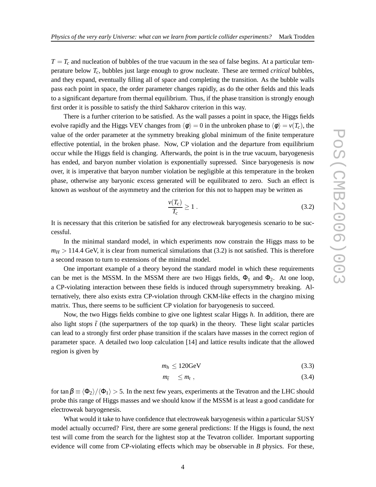$T = T_c$  and nucleation of bubbles of the true vacuum in the sea of false begins. At a particular temperature below *Tc*, bubbles just large enough to grow nucleate. These are termed *critical* bubbles, and they expand, eventually filling all of space and completing the transition. As the bubble walls pass each point in space, the order parameter changes rapidly, as do the other fields and this leads to a significant departure from thermal equilibrium. Thus, if the phase transition is strongly enough first order it is possible to satisfy the third Sakharov criterion in this way.

There is a further criterion to be satisfied. As the wall passes a point in space, the Higgs fields evolve rapidly and the Higgs VEV changes from  $\langle \phi \rangle = 0$  in the unbroken phase to  $\langle \phi \rangle = v(T_c)$ , the value of the order parameter at the symmetry breaking global minimum of the finite temperature effective potential, in the broken phase. Now, CP violation and the departure from equilibrium occur while the Higgs field is changing. Afterwards, the point is in the true vacuum, baryogenesis has ended, and baryon number violation is exponentially supressed. Since baryogenesis is now over, it is imperative that baryon number violation be negligible at this temperature in the broken phase, otherwise any baryonic excess generated will be equilibrated to zero. Such an effect is known as *washout* of the asymmetry and the criterion for this not to happen may be written as

$$
\frac{v(T_c)}{T_c} \ge 1\,. \tag{3.2}
$$

It is necessary that this criterion be satisfied for any electroweak baryogenesis scenario to be successful.

In the minimal standard model, in which experiments now constrain the Higgs mass to be  $m_H$  > 114.4 GeV, it is clear from numerical simulations that (3.2) is not satisfied. This is therefore a second reason to turn to extensions of the minimal model.

One important example of a theory beyond the standard model in which these requirements can be met is the MSSM. In the MSSM there are two Higgs fields,  $\Phi_1$  and  $\Phi_2$ . At one loop, a CP-violating interaction between these fields is induced through supersymmetry breaking. Alternatively, there also exists extra CP-violation through CKM-like effects in the chargino mixing matrix. Thus, there seems to be sufficient CP violation for baryogenesis to succeed.

Now, the two Higgs fields combine to give one lightest scalar Higgs *h*. In addition, there are also light *stops*  $\tilde{t}$  (the superpartners of the top quark) in the theory. These light scalar particles can lead to a strongly first order phase transition if the scalars have masses in the correct region of parameter space. A detailed two loop calculation [14] and lattice results indicate that the allowed region is given by

$$
m_h \le 120 \text{GeV} \tag{3.3}
$$

$$
m_{\tilde{t}} \leq m_t \,, \tag{3.4}
$$

for tan  $\beta \equiv \langle \Phi_2 \rangle / \langle \Phi_1 \rangle > 5$ . In the next few years, experiments at the Tevatron and the LHC should probe this range of Higgs masses and we should know if the MSSM is at least a good candidate for electroweak baryogenesis.

What would it take to have confidence that electroweak baryogenesis within a particular SUSY model actually occurred? First, there are some general predictions: If the Higgs is found, the next test will come from the search for the lightest stop at the Tevatron collider. Important supporting evidence will come from CP-violating effects which may be observable in *B* physics. For these,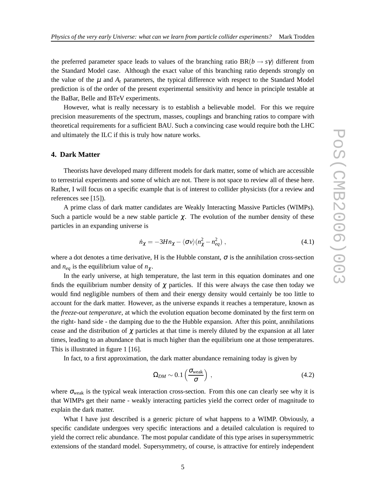the preferred parameter space leads to values of the branching ratio  $BR(b \rightarrow s\gamma)$  different from the Standard Model case. Although the exact value of this branching ratio depends strongly on the value of the  $\mu$  and  $A_t$  parameters, the typical difference with respect to the Standard Model prediction is of the order of the present experimental sensitivity and hence in principle testable at the BaBar, Belle and BTeV experiments.

However, what is really necessary is to establish a believable model. For this we require precision measurements of the spectrum, masses, couplings and branching ratios to compare with theoretical requirements for a sufficient BAU. Such a convincing case would require both the LHC and ultimately the ILC if this is truly how nature works.

#### **4. Dark Matter**

Theorists have developed many different models for dark matter, some of which are accessible to terrestrial experiments and some of which are not. There is not space to review all of these here. Rather, I will focus on a specific example that is of interest to collider physicists (for a review and references see [15]).

A prime class of dark matter candidates are Weakly Interacting Massive Particles (WIMPs). Such a particle would be a new stable particle  $\chi$ . The evolution of the number density of these particles in an expanding universe is

$$
\dot{n}_{\chi} = -3Hn_{\chi} - \langle \sigma v \rangle (n_{\chi}^2 - n_{eq}^2) , \qquad (4.1)
$$

where a dot denotes a time derivative, H is the Hubble constant,  $\sigma$  is the annihilation cross-section and  $n_{eq}$  is the equilibrium value of  $n_{\gamma}$ .

In the early universe, at high temperature, the last term in this equation dominates and one finds the equilibrium number density of  $\chi$  particles. If this were always the case then today we would find negligible numbers of them and their energy density would certainly be too little to account for the dark matter. However, as the universe expands it reaches a temperature, known as the *freeze-out temperature*, at which the evolution equation become dominated by the first term on the right- hand side - the damping due to the the Hubble expansion. After this point, annihilations cease and the distribution of  $\chi$  particles at that time is merely diluted by the expansion at all later times, leading to an abundance that is much higher than the equilibrium one at those temperatures. This is illustrated in figure 1 [16].

In fact, to a first approximation, the dark matter abundance remaining today is given by

$$
\Omega_{DM} \sim 0.1 \left( \frac{\sigma_{\text{weak}}}{\sigma} \right) , \qquad (4.2)
$$

where  $\sigma_{\text{weak}}$  is the typical weak interaction cross-section. From this one can clearly see why it is that WIMPs get their name - weakly interacting particles yield the correct order of magnitude to explain the dark matter.

What I have just described is a generic picture of what happens to a WIMP. Obviously, a specific candidate undergoes very specific interactions and a detailed calculation is required to yield the correct relic abundance. The most popular candidate of this type arises in supersymmetric extensions of the standard model. Supersymmetry, of course, is attractive for entirely independent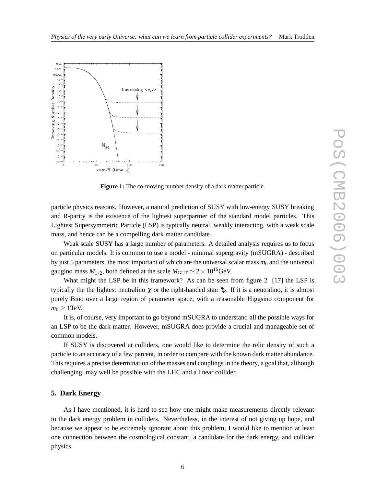

**Figure 1:** The co-moving number density of a dark matter particle.

particle physics reasons. However, a natural prediction of SUSY with low-energy SUSY breaking and R-parity is the existence of the lightest superpartner of the standard model particles. This Lightest Supersymmetric Particle (LSP) is typically neutral, weakly interacting, with a weak scale mass, and hence can be a compelling dark matter candidate.

Weak scale SUSY has a large number of parameters. A detailed analysis requires us to focus on particular models. It is common to use a model - minimal supergravity (mSUGRA) - described by just 5 parameters, the most important of which are the universal scalar mass  $m<sub>0</sub>$  and the universal gaugino mass  $M_{1/2}$ , both defined at the scale  $M_{\text{GUT}} \simeq 2 \times 10^{16} \text{GeV}$ .

What might the LSP be in this framework? As can be seen from figure 2 [17] the LSP is typically the the lightest neutralino  $\chi$  or the right-handed stau  $\tilde{\tau}_R$ . If it is a neutralino, it is almost purely Bino over a large region of parameter space, with a reasonable Higgsino component for  $m_0 \geq 1$ TeV.

It is, of course, very important to go beyond mSUGRA to understand all the possible ways for an LSP to be the dark matter. However, mSUGRA does provide a crucial and manageable set of common models.

If SUSY is discovered at colliders, one would like to determine the relic density of such a particle to an accuracy of a few percent, in order to compare with the known dark matter abundance. This requires a precise determination of the masses and couplings in the theory, a goal that, although challenging, may well be possible with the LHC and a linear collider.

## **5. Dark Energy**

As I have mentioned, it is hard to see how one might make measurements directly relevant to the dark energy problem in colliders. Nevertheless, in the interest of not giving up hope, and because we appear to be extremely ignorant about this problem, I would like to mention at least one connection between the cosmological constant, a candidate for the dark energy, and collider physics.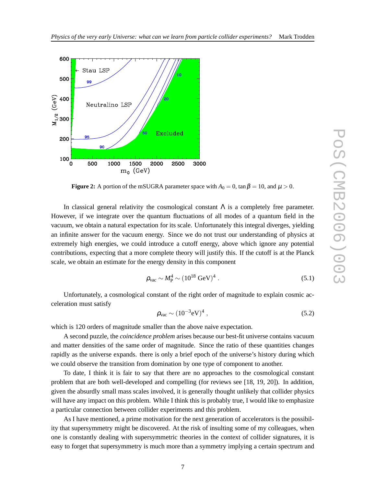*Physics of the very early Universe: what can we learn from particle collider experiments?* Mark Trodden



**Figure 2:** A portion of the mSUGRA parameter space with  $A_0 = 0$ , tan  $\beta = 10$ , and  $\mu > 0$ .

In classical general relativity the cosmological constant  $\Lambda$  is a completely free parameter. However, if we integrate over the quantum fluctuations of all modes of a quantum field in the vacuum, we obtain a natural expectation for its scale. Unfortunately this integral diverges, yielding an infinite answer for the vacuum energy. Since we do not trust our understanding of physics at extremely high energies, we could introduce a cutoff energy, above which ignore any potential contributions, expecting that a more complete theory will justify this. If the cutoff is at the Planck scale, we obtain an estimate for the energy density in this component

$$
\rho_{\rm vac} \sim M_{\rm P}^4 \sim (10^{18} \text{ GeV})^4 \ . \tag{5.1}
$$

Unfortunately, a cosmological constant of the right order of magnitude to explain cosmic acceleration must satisfy

$$
\rho_{\rm vac} \sim (10^{-3} \mathrm{eV})^4 \;, \tag{5.2}
$$

which is 120 orders of magnitude smaller than the above naive expectation.

A second puzzle, the *coincidence problem* arises because our best-fit universe contains vacuum and matter densities of the same order of magnitude. Since the ratio of these quantities changes rapidly as the universe expands. there is only a brief epoch of the universe's history during which we could observe the transition from domination by one type of component to another.

To date, I think it is fair to say that there are no approaches to the cosmological constant problem that are both well-developed and compelling (for reviews see [18, 19, 20]). In addition, given the absurdly small mass scales involved, it is generally thought unlikely that collider physics will have any impact on this problem. While I think this is probably true, I would like to emphasize a particular connection between collider experiments and this problem.

As I have mentioned, a prime motivation for the next generation of accelerators is the possibility that supersymmetry might be discovered. At the risk of insulting some of my colleagues, when one is constantly dealing with supersymmetric theories in the context of collider signatures, it is easy to forget that supersymmetry is much more than a symmetry implying a certain spectrum and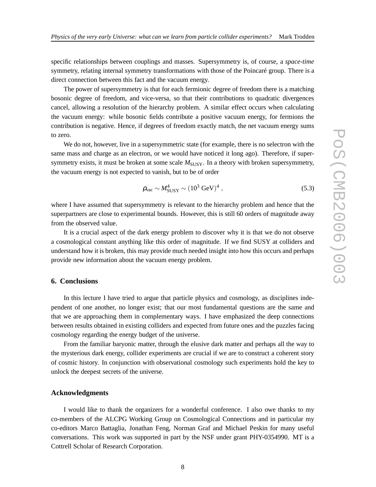specific relationships between couplings and masses. Supersymmetry is, of course, a *space-time* symmetry, relating internal symmetry transformations with those of the Poincaré group. There is a direct connection between this fact and the vacuum energy.

The power of supersymmetry is that for each fermionic degree of freedom there is a matching bosonic degree of freedom, and vice-versa, so that their contributions to quadratic divergences cancel, allowing a resolution of the hierarchy problem. A similar effect occurs when calculating the vacuum energy: while bosonic fields contribute a positive vacuum energy, for fermions the contribution is negative. Hence, if degrees of freedom exactly match, the net vacuum energy sums to zero.

We do not, however, live in a supersymmetric state (for example, there is no selectron with the same mass and charge as an electron, or we would have noticed it long ago). Therefore, if supersymmetry exists, it must be broken at some scale  $M_{SUSY}$ . In a theory with broken supersymmetry, the vacuum energy is not expected to vanish, but to be of order

$$
\rho_{\rm vac} \sim M_{\rm SUSY}^4 \sim (10^3 \text{ GeV})^4 \,, \tag{5.3}
$$

where I have assumed that supersymmetry is relevant to the hierarchy problem and hence that the superpartners are close to experimental bounds. However, this is still 60 orders of magnitude away from the observed value.

It is a crucial aspect of the dark energy problem to discover why it is that we do not observe a cosmological constant anything like this order of magnitude. If we find SUSY at colliders and understand how it is broken, this may provide much needed insight into how this occurs and perhaps provide new information about the vacuum energy problem.

# **6. Conclusions**

In this lecture I have tried to argue that particle physics and cosmology, as disciplines independent of one another, no longer exist; that our most fundamental questions are the same and that we are approaching them in complementary ways. I have emphasized the deep connections between results obtained in existing colliders and expected from future ones and the puzzles facing cosmology regarding the energy budget of the universe.

From the familiar baryonic matter, through the elusive dark matter and perhaps all the way to the mysterious dark energy, collider experiments are crucial if we are to construct a coherent story of cosmic history. In conjunction with observational cosmology such experiments hold the key to unlock the deepest secrets of the universe.

#### **Acknowledgments**

I would like to thank the organizers for a wonderful conference. I also owe thanks to my co-members of the ALCPG Working Group on Cosmological Connections and in particular my co-editors Marco Battaglia, Jonathan Feng, Norman Graf and Michael Peskin for many useful conversations. This work was supported in part by the NSF under grant PHY-0354990. MT is a Cottrell Scholar of Research Corporation.